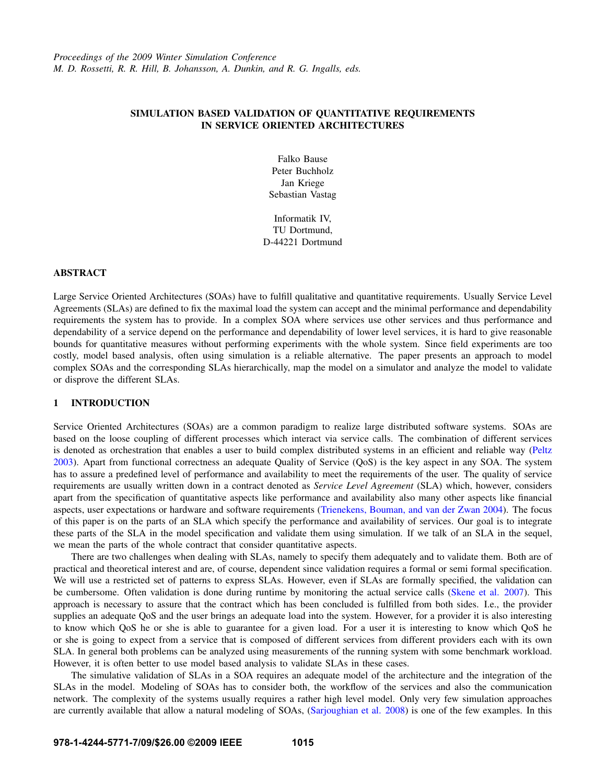# SIMULATION BASED VALIDATION OF QUANTITATIVE REQUIREMENTS IN SERVICE ORIENTED ARCHITECTURES

Falko Bause Peter Buchholz Jan Kriege Sebastian Vastag

Informatik IV, TU Dortmund, D-44221 Dortmund

# ABSTRACT

Large Service Oriented Architectures (SOAs) have to fulfill qualitative and quantitative requirements. Usually Service Level Agreements (SLAs) are defined to fix the maximal load the system can accept and the minimal performance and dependability requirements the system has to provide. In a complex SOA where services use other services and thus performance and dependability of a service depend on the performance and dependability of lower level services, it is hard to give reasonable bounds for quantitative measures without performing experiments with the whole system. Since field experiments are too costly, model based analysis, often using simulation is a reliable alternative. The paper presents an approach to model complex SOAs and the corresponding SLAs hierarchically, map the model on a simulator and analyze the model to validate or disprove the different SLAs.

# 1 INTRODUCTION

Service Oriented Architectures (SOAs) are a common paradigm to realize large distributed software systems. SOAs are based on the loose coupling of different processes which interact via service calls. The combination of different services is denoted as orchestration that enables a user to build complex distributed systems in an efficient and reliable way (Peltz 2003). Apart from functional correctness an adequate Quality of Service (QoS) is the key aspect in any SOA. The system has to assure a predefined level of performance and availability to meet the requirements of the user. The quality of service requirements are usually written down in a contract denoted as *Service Level Agreement* (SLA) which, however, considers apart from the specification of quantitative aspects like performance and availability also many other aspects like financial aspects, user expectations or hardware and software requirements (Trienekens, Bouman, and van der Zwan 2004). The focus of this paper is on the parts of an SLA which specify the performance and availability of services. Our goal is to integrate these parts of the SLA in the model specification and validate them using simulation. If we talk of an SLA in the sequel, we mean the parts of the whole contract that consider quantitative aspects.

There are two challenges when dealing with SLAs, namely to specify them adequately and to validate them. Both are of practical and theoretical interest and are, of course, dependent since validation requires a formal or semi formal specification. We will use a restricted set of patterns to express SLAs. However, even if SLAs are formally specified, the validation can be cumbersome. Often validation is done during runtime by monitoring the actual service calls (Skene et al. 2007). This approach is necessary to assure that the contract which has been concluded is fulfilled from both sides. I.e., the provider supplies an adequate QoS and the user brings an adequate load into the system. However, for a provider it is also interesting to know which QoS he or she is able to guarantee for a given load. For a user it is interesting to know which QoS he or she is going to expect from a service that is composed of different services from different providers each with its own SLA. In general both problems can be analyzed using measurements of the running system with some benchmark workload. However, it is often better to use model based analysis to validate SLAs in these cases.

The simulative validation of SLAs in a SOA requires an adequate model of the architecture and the integration of the SLAs in the model. Modeling of SOAs has to consider both, the workflow of the services and also the communication network. The complexity of the systems usually requires a rather high level model. Only very few simulation approaches are currently available that allow a natural modeling of SOAs, (Sarjoughian et al. 2008) is one of the few examples. In this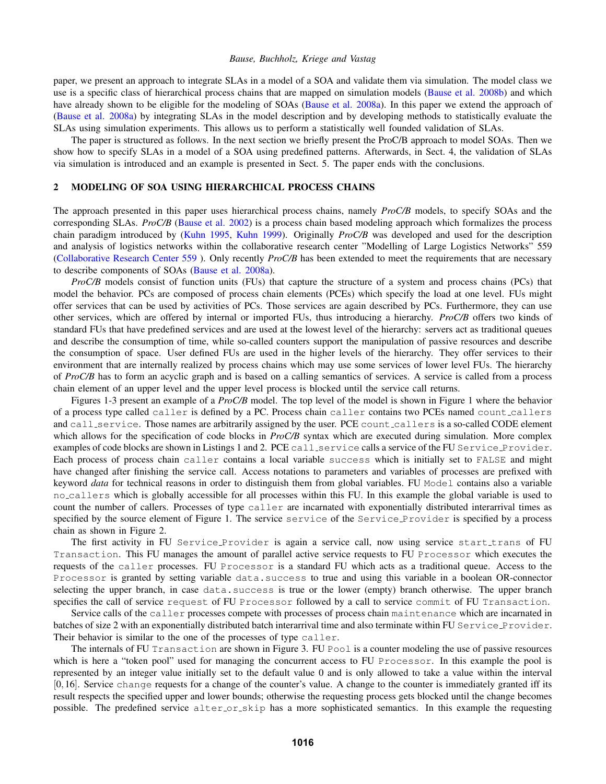## *Bause, Buchholz, Kriege and Vastag*

paper, we present an approach to integrate SLAs in a model of a SOA and validate them via simulation. The model class we use is a specific class of hierarchical process chains that are mapped on simulation models (Bause et al. 2008b) and which have already shown to be eligible for the modeling of SOAs (Bause et al. 2008a). In this paper we extend the approach of (Bause et al. 2008a) by integrating SLAs in the model description and by developing methods to statistically evaluate the SLAs using simulation experiments. This allows us to perform a statistically well founded validation of SLAs.

The paper is structured as follows. In the next section we briefly present the ProC/B approach to model SOAs. Then we show how to specify SLAs in a model of a SOA using predefined patterns. Afterwards, in Sect. 4, the validation of SLAs via simulation is introduced and an example is presented in Sect. 5. The paper ends with the conclusions.

### 2 MODELING OF SOA USING HIERARCHICAL PROCESS CHAINS

The approach presented in this paper uses hierarchical process chains, namely *ProC/B* models, to specify SOAs and the corresponding SLAs. *ProC/B* (Bause et al. 2002) is a process chain based modeling approach which formalizes the process chain paradigm introduced by (Kuhn 1995, Kuhn 1999). Originally *ProC/B* was developed and used for the description and analysis of logistics networks within the collaborative research center "Modelling of Large Logistics Networks" 559 (Collaborative Research Center 559 ). Only recently *ProC/B* has been extended to meet the requirements that are necessary to describe components of SOAs (Bause et al. 2008a).

*ProC/B* models consist of function units (FUs) that capture the structure of a system and process chains (PCs) that model the behavior. PCs are composed of process chain elements (PCEs) which specify the load at one level. FUs might offer services that can be used by activities of PCs. Those services are again described by PCs. Furthermore, they can use other services, which are offered by internal or imported FUs, thus introducing a hierarchy. *ProC/B* offers two kinds of standard FUs that have predefined services and are used at the lowest level of the hierarchy: servers act as traditional queues and describe the consumption of time, while so-called counters support the manipulation of passive resources and describe the consumption of space. User defined FUs are used in the higher levels of the hierarchy. They offer services to their environment that are internally realized by process chains which may use some services of lower level FUs. The hierarchy of *ProC/B* has to form an acyclic graph and is based on a calling semantics of services. A service is called from a process chain element of an upper level and the upper level process is blocked until the service call returns.

Figures 1-3 present an example of a *ProC/B* model. The top level of the model is shown in Figure 1 where the behavior of a process type called caller is defined by a PC. Process chain caller contains two PCEs named count callers and call service. Those names are arbitrarily assigned by the user. PCE count callers is a so-called CODE element which allows for the specification of code blocks in *ProC/B* syntax which are executed during simulation. More complex examples of code blocks are shown in Listings 1 and 2. PCE call service calls a service of the FU Service Provider. Each process of process chain caller contains a local variable success which is initially set to FALSE and might have changed after finishing the service call. Access notations to parameters and variables of processes are prefixed with keyword *data* for technical reasons in order to distinguish them from global variables. FU Model contains also a variable no callers which is globally accessible for all processes within this FU. In this example the global variable is used to count the number of callers. Processes of type caller are incarnated with exponentially distributed interarrival times as specified by the source element of Figure 1. The service service of the Service Provider is specified by a process chain as shown in Figure 2.

The first activity in FU Service Provider is again a service call, now using service start trans of FU Transaction. This FU manages the amount of parallel active service requests to FU Processor which executes the requests of the caller processes. FU Processor is a standard FU which acts as a traditional queue. Access to the Processor is granted by setting variable data.success to true and using this variable in a boolean OR-connector selecting the upper branch, in case data.success is true or the lower (empty) branch otherwise. The upper branch specifies the call of service request of FU Processor followed by a call to service commit of FU Transaction.

Service calls of the caller processes compete with processes of process chain maintenance which are incarnated in batches of size 2 with an exponentially distributed batch interarrival time and also terminate within FU Service Provider. Their behavior is similar to the one of the processes of type caller.

The internals of FU Transaction are shown in Figure 3. FU Pool is a counter modeling the use of passive resources which is here a "token pool" used for managing the concurrent access to FU Processor. In this example the pool is represented by an integer value initially set to the default value 0 and is only allowed to take a value within the interval [0,16]. Service change requests for a change of the counter's value. A change to the counter is immediately granted iff its result respects the specified upper and lower bounds; otherwise the requesting process gets blocked until the change becomes possible. The predefined service alter or skip has a more sophisticated semantics. In this example the requesting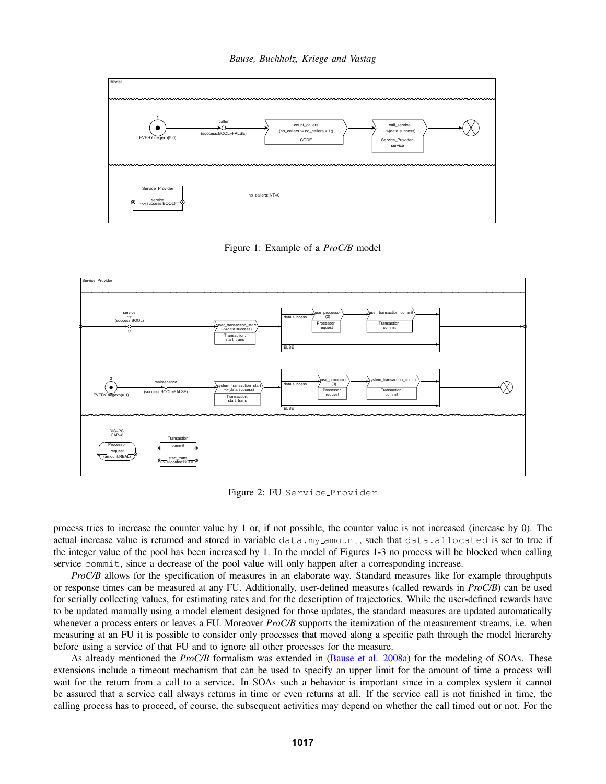*Bause, Buchholz, Kriege and Vastag*







Figure 2: FU Service Provider

process tries to increase the counter value by 1 or, if not possible, the counter value is not increased (increase by 0). The actual increase value is returned and stored in variable data.my amount, such that data.allocated is set to true if the integer value of the pool has been increased by 1. In the model of Figures 1-3 no process will be blocked when calling service commit, since a decrease of the pool value will only happen after a corresponding increase.

*ProC/B* allows for the specification of measures in an elaborate way. Standard measures like for example throughputs or response times can be measured at any FU. Additionally, user-defined measures (called rewards in *ProC/B*) can be used for serially collecting values, for estimating rates and for the description of trajectories. While the user-defined rewards have to be updated manually using a model element designed for those updates, the standard measures are updated automatically whenever a process enters or leaves a FU. Moreover *ProC/B* supports the itemization of the measurement streams, i.e. when measuring at an FU it is possible to consider only processes that moved along a specific path through the model hierarchy before using a service of that FU and to ignore all other processes for the measure.

As already mentioned the *ProC/B* formalism was extended in (Bause et al. 2008a) for the modeling of SOAs. These extensions include a timeout mechanism that can be used to specify an upper limit for the amount of time a process will wait for the return from a call to a service. In SOAs such a behavior is important since in a complex system it cannot be assured that a service call always returns in time or even returns at all. If the service call is not finished in time, the calling process has to proceed, of course, the subsequent activities may depend on whether the call timed out or not. For the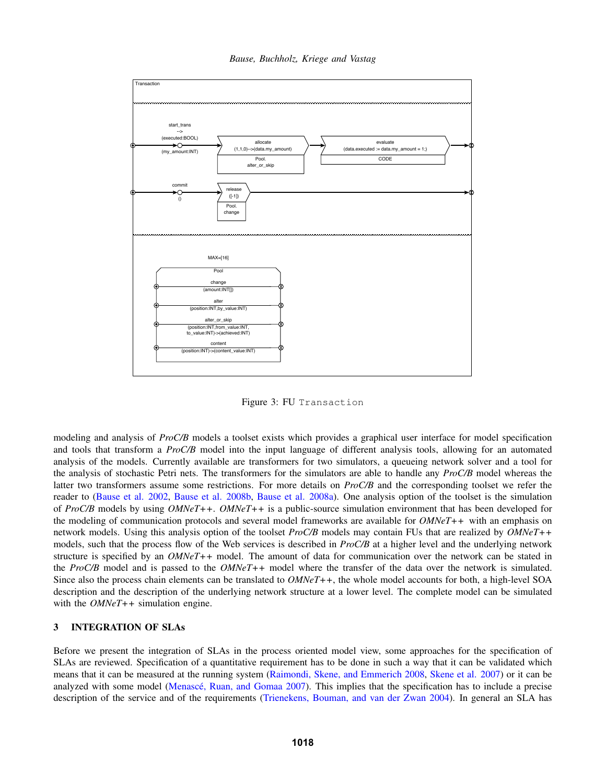



Figure 3: FU Transaction

modeling and analysis of *ProC/B* models a toolset exists which provides a graphical user interface for model specification and tools that transform a *ProC/B* model into the input language of different analysis tools, allowing for an automated analysis of the models. Currently available are transformers for two simulators, a queueing network solver and a tool for the analysis of stochastic Petri nets. The transformers for the simulators are able to handle any *ProC/B* model whereas the latter two transformers assume some restrictions. For more details on *ProC/B* and the corresponding toolset we refer the reader to (Bause et al. 2002, Bause et al. 2008b, Bause et al. 2008a). One analysis option of the toolset is the simulation of *ProC/B* models by using *OMNeT++*. *OMNeT++* is a public-source simulation environment that has been developed for the modeling of communication protocols and several model frameworks are available for *OMNeT++* with an emphasis on network models. Using this analysis option of the toolset *ProC/B* models may contain FUs that are realized by *OMNeT++* models, such that the process flow of the Web services is described in *ProC/B* at a higher level and the underlying network structure is specified by an *OMNeT++* model. The amount of data for communication over the network can be stated in the *ProC/B* model and is passed to the *OMNeT++* model where the transfer of the data over the network is simulated. Since also the process chain elements can be translated to *OMNeT++*, the whole model accounts for both, a high-level SOA description and the description of the underlying network structure at a lower level. The complete model can be simulated with the *OMNeT++* simulation engine.

## 3 INTEGRATION OF SLAs

Before we present the integration of SLAs in the process oriented model view, some approaches for the specification of SLAs are reviewed. Specification of a quantitative requirement has to be done in such a way that it can be validated which means that it can be measured at the running system (Raimondi, Skene, and Emmerich 2008, Skene et al. 2007) or it can be analyzed with some model (Menascé, Ruan, and Gomaa 2007). This implies that the specification has to include a precise description of the service and of the requirements (Trienekens, Bouman, and van der Zwan 2004). In general an SLA has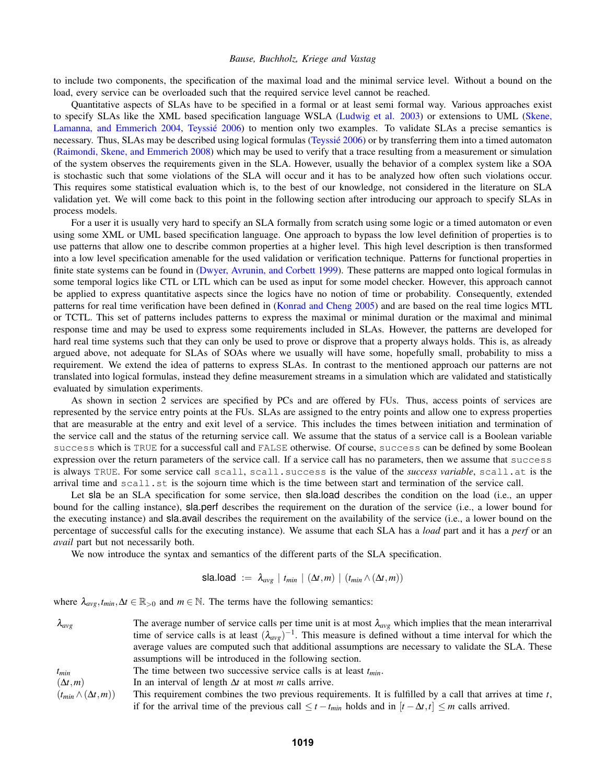## *Bause, Buchholz, Kriege and Vastag*

to include two components, the specification of the maximal load and the minimal service level. Without a bound on the load, every service can be overloaded such that the required service level cannot be reached.

Quantitative aspects of SLAs have to be specified in a formal or at least semi formal way. Various approaches exist to specify SLAs like the XML based specification language WSLA (Ludwig et al. 2003) or extensions to UML (Skene, Lamanna, and Emmerich 2004, Teyssié 2006) to mention only two examples. To validate SLAs a precise semantics is necessary. Thus, SLAs may be described using logical formulas (Teyssié 2006) or by transferring them into a timed automaton (Raimondi, Skene, and Emmerich 2008) which may be used to verify that a trace resulting from a measurement or simulation of the system observes the requirements given in the SLA. However, usually the behavior of a complex system like a SOA is stochastic such that some violations of the SLA will occur and it has to be analyzed how often such violations occur. This requires some statistical evaluation which is, to the best of our knowledge, not considered in the literature on SLA validation yet. We will come back to this point in the following section after introducing our approach to specify SLAs in process models.

For a user it is usually very hard to specify an SLA formally from scratch using some logic or a timed automaton or even using some XML or UML based specification language. One approach to bypass the low level definition of properties is to use patterns that allow one to describe common properties at a higher level. This high level description is then transformed into a low level specification amenable for the used validation or verification technique. Patterns for functional properties in finite state systems can be found in (Dwyer, Avrunin, and Corbett 1999). These patterns are mapped onto logical formulas in some temporal logics like CTL or LTL which can be used as input for some model checker. However, this approach cannot be applied to express quantitative aspects since the logics have no notion of time or probability. Consequently, extended patterns for real time verification have been defined in (Konrad and Cheng 2005) and are based on the real time logics MTL or TCTL. This set of patterns includes patterns to express the maximal or minimal duration or the maximal and minimal response time and may be used to express some requirements included in SLAs. However, the patterns are developed for hard real time systems such that they can only be used to prove or disprove that a property always holds. This is, as already argued above, not adequate for SLAs of SOAs where we usually will have some, hopefully small, probability to miss a requirement. We extend the idea of patterns to express SLAs. In contrast to the mentioned approach our patterns are not translated into logical formulas, instead they define measurement streams in a simulation which are validated and statistically evaluated by simulation experiments.

As shown in section 2 services are specified by PCs and are offered by FUs. Thus, access points of services are represented by the service entry points at the FUs. SLAs are assigned to the entry points and allow one to express properties that are measurable at the entry and exit level of a service. This includes the times between initiation and termination of the service call and the status of the returning service call. We assume that the status of a service call is a Boolean variable success which is TRUE for a successful call and FALSE otherwise. Of course, success can be defined by some Boolean expression over the return parameters of the service call. If a service call has no parameters, then we assume that success is always TRUE. For some service call scall, scall.success is the value of the *success variable*, scall.at is the arrival time and scall.st is the sojourn time which is the time between start and termination of the service call.

Let sla be an SLA specification for some service, then sla.load describes the condition on the load (i.e., an upper bound for the calling instance), sla.perf describes the requirement on the duration of the service (i.e., a lower bound for the executing instance) and sla.avail describes the requirement on the availability of the service (i.e., a lower bound on the percentage of successful calls for the executing instance). We assume that each SLA has a *load* part and it has a *perf* or an *avail* part but not necessarily both.

We now introduce the syntax and semantics of the different parts of the SLA specification.

$$
sla.load := \lambda_{avg} | t_{min} | (\Delta t, m) | (t_{min} \wedge (\Delta t, m))
$$

where  $\lambda_{avg}$ ,  $t_{min}$ ,  $\Delta t \in \mathbb{R}_{>0}$  and  $m \in \mathbb{N}$ . The terms have the following semantics:

| $\lambda_{avg}$                  | The average number of service calls per time unit is at most $\lambda_{avg}$ which implies that the mean interarrival         |
|----------------------------------|-------------------------------------------------------------------------------------------------------------------------------|
|                                  | time of service calls is at least $(\lambda_{\alpha v})^{-1}$ . This measure is defined without a time interval for which the |
|                                  | average values are computed such that additional assumptions are necessary to validate the SLA. These                         |
|                                  | assumptions will be introduced in the following section.                                                                      |
| $t_{min}$                        | The time between two successive service calls is at least $t_{min}$ .                                                         |
| $(\Delta t,m)$                   | In an interval of length $\Delta t$ at most <i>m</i> calls arrive.                                                            |
| $(t_{min} \wedge (\Delta t, m))$ | This requirement combines the two previous requirements. It is fulfilled by a call that arrives at time $t$ ,                 |
|                                  | if for the arrival time of the previous call $\leq t - t_{min}$ holds and in $[t - \Delta t, t] \leq m$ calls arrived.        |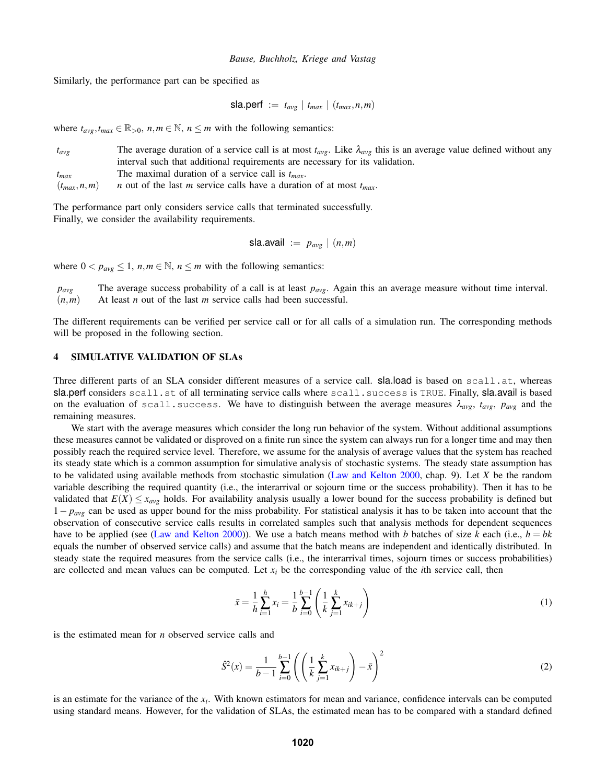Similarly, the performance part can be specified as

$$
sla.perf := t_{avg} | t_{max} | (t_{max}, n, m)
$$

where  $t_{avg}, t_{max} \in \mathbb{R}_{>0}, n, m \in \mathbb{N}, n \leq m$  with the following semantics:

| $t_{avg}$         | The average duration of a service call is at most $t_{avg}$ . Like $\lambda_{avg}$ this is an average value defined without any |
|-------------------|---------------------------------------------------------------------------------------------------------------------------------|
|                   | interval such that additional requirements are necessary for its validation.                                                    |
| $t_{max}$         | The maximal duration of a service call is $t_{max}$ .                                                                           |
| $(t_{max}, n, m)$ | <i>n</i> out of the last <i>m</i> service calls have a duration of at most t <sub>max</sub> .                                   |

The performance part only considers service calls that terminated successfully. Finally, we consider the availability requirements.

$$
sla.auail := p_{avg} \mid (n,m)
$$

where  $0 < p_{avg} \leq 1$ ,  $n, m \in \mathbb{N}$ ,  $n \leq m$  with the following semantics:

*pavg* The average success probability of a call is at least *pavg*. Again this an average measure without time interval.  $(n,m)$  At least *n* out of the last *m* service calls had been successful.

The different requirements can be verified per service call or for all calls of a simulation run. The corresponding methods will be proposed in the following section.

## 4 SIMULATIVE VALIDATION OF SLAs

Three different parts of an SLA consider different measures of a service call. sla.load is based on scall.at, whereas sla.perf considers scall.st of all terminating service calls where scall.success is TRUE. Finally, sla.avail is based on the evaluation of scall.success. We have to distinguish between the average measures  $\lambda_{avg}$ ,  $t_{avg}$ ,  $p_{avg}$  and the remaining measures.

We start with the average measures which consider the long run behavior of the system. Without additional assumptions these measures cannot be validated or disproved on a finite run since the system can always run for a longer time and may then possibly reach the required service level. Therefore, we assume for the analysis of average values that the system has reached its steady state which is a common assumption for simulative analysis of stochastic systems. The steady state assumption has to be validated using available methods from stochastic simulation (Law and Kelton 2000, chap. 9). Let *X* be the random variable describing the required quantity (i.e., the interarrival or sojourn time or the success probability). Then it has to be validated that  $E(X) \leq x_{avg}$  holds. For availability analysis usually a lower bound for the success probability is defined but 1− *pavg* can be used as upper bound for the miss probability. For statistical analysis it has to be taken into account that the observation of consecutive service calls results in correlated samples such that analysis methods for dependent sequences have to be applied (see (Law and Kelton 2000)). We use a batch means method with *b* batches of size *k* each (i.e., *h* = *bk* equals the number of observed service calls) and assume that the batch means are independent and identically distributed. In steady state the required measures from the service calls (i.e., the interarrival times, sojourn times or success probabilities) are collected and mean values can be computed. Let  $x_i$  be the corresponding value of the *i*th service call, then

$$
\bar{x} = \frac{1}{h} \sum_{i=1}^{h} x_i = \frac{1}{b} \sum_{i=0}^{b-1} \left( \frac{1}{k} \sum_{j=1}^{k} x_{ik+j} \right)
$$
 (1)

is the estimated mean for *n* observed service calls and

$$
\hat{S}^2(x) = \frac{1}{b-1} \sum_{i=0}^{b-1} \left( \left( \frac{1}{k} \sum_{j=1}^k x_{ik+j} \right) - \bar{x} \right)^2
$$
 (2)

is an estimate for the variance of the *x<sup>i</sup>* . With known estimators for mean and variance, confidence intervals can be computed using standard means. However, for the validation of SLAs, the estimated mean has to be compared with a standard defined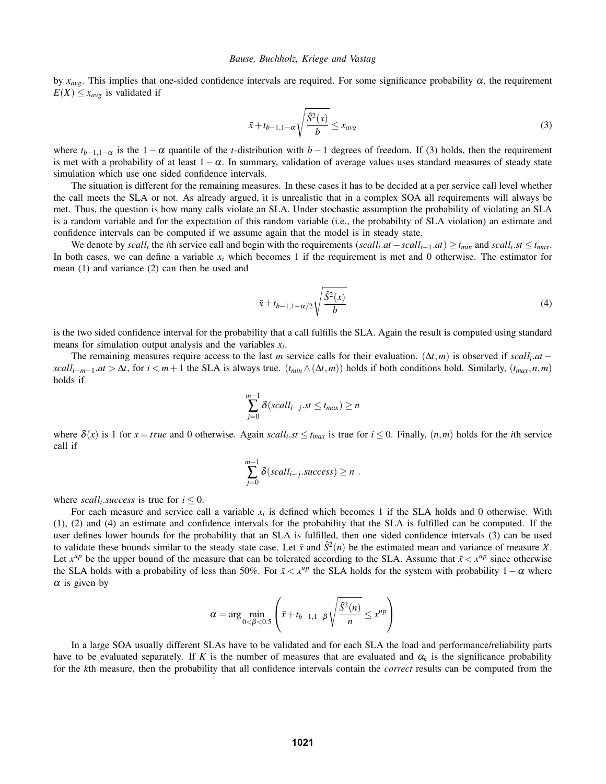by  $x_{\alpha\nu\rho}$ . This implies that one-sided confidence intervals are required. For some significance probability α, the requirement  $E(X) \leq x_{avg}$  is validated if

$$
\bar{x} + t_{b-1,1-\alpha} \sqrt{\frac{\hat{S}^2(x)}{b}} \le x_{\alpha v g} \tag{3}
$$

where  $t_{b-1,1-\alpha}$  is the 1− $\alpha$  quantile of the *t*-distribution with *b*−1 degrees of freedom. If (3) holds, then the requirement is met with a probability of at least  $1-\alpha$ . In summary, validation of average values uses standard measures of steady state simulation which use one sided confidence intervals.

The situation is different for the remaining measures. In these cases it has to be decided at a per service call level whether the call meets the SLA or not. As already argued, it is unrealistic that in a complex SOA all requirements will always be met. Thus, the question is how many calls violate an SLA. Under stochastic assumption the probability of violating an SLA is a random variable and for the expectation of this random variable (i.e., the probability of SLA violation) an estimate and confidence intervals can be computed if we assume again that the model is in steady state.

We denote by scall<sub>i</sub> the *i*th service call and begin with the requirements  $(scall_i.at - scall_{i-1}.at) \ge t_{min}$  and  $scal_i.st \le t_{max}$ . In both cases, we can define a variable  $x_i$  which becomes 1 if the requirement is met and 0 otherwise. The estimator for mean (1) and variance (2) can then be used and

$$
\bar{x} \pm t_{b-1,1-\alpha/2} \sqrt{\frac{\hat{S}^2(x)}{b}}\tag{4}
$$

is the two sided confidence interval for the probability that a call fulfills the SLA. Again the result is computed using standard means for simulation output analysis and the variables  $x_i$ .

The remaining measures require access to the last *m* service calls for their evaluation.  $(\Delta t, m)$  is observed if *scall<sub>i</sub>*.*at* −  $\textit{scal}_{i-m-1}$  at  $> \Delta t$ , for  $i < m+1$  the SLA is always true.  $(t_{min} \wedge (\Delta t, m))$  holds if both conditions hold. Similarly,  $(t_{max}, n, m)$ holds if

$$
\sum_{j=0}^{m-1} \delta(scall_{i-j}.st \leq t_{max}) \geq n
$$

where  $\delta(x)$  is 1 for  $x = true$  and 0 otherwise. Again *scall<sub>i</sub>* at  $\le t_{max}$  is true for  $i \le 0$ . Finally,  $(n, m)$  holds for the *i*th service call if

$$
\sum_{j=0}^{m-1} \delta(scall_{i-j}.success) \geq n.
$$

where  $\text{scal}_i$  *success* is true for  $i \leq 0$ .

For each measure and service call a variable  $x_i$  is defined which becomes 1 if the SLA holds and 0 otherwise. With (1), (2) and (4) an estimate and confidence intervals for the probability that the SLA is fulfilled can be computed. If the user defines lower bounds for the probability that an SLA is fulfilled, then one sided confidence intervals (3) can be used to validate these bounds similar to the steady state case. Let  $\bar{x}$  and  $\hat{S}^2(n)$  be the estimated mean and variance of measure X. Let  $x^{up}$  be the upper bound of the measure that can be tolerated according to the SLA. Assume that  $\bar{x} < x^{up}$  since otherwise the SLA holds with a probability of less than 50%. For  $\bar{x}$  <  $x^{\mu p}$  the SLA holds for the system with probability 1 –  $\alpha$  where  $\alpha$  is given by

$$
\alpha = \arg \min_{0 < \beta < 0.5} \left( \bar{x} + t_{b-1, 1-\beta} \sqrt{\frac{\hat{S}^2(n)}{n}} \leq x^{up} \right)
$$

In a large SOA usually different SLAs have to be validated and for each SLA the load and performance/reliability parts have to be evaluated separately. If K is the number of measures that are evaluated and  $\alpha_k$  is the significance probability for the *k*th measure, then the probability that all confidence intervals contain the *correct* results can be computed from the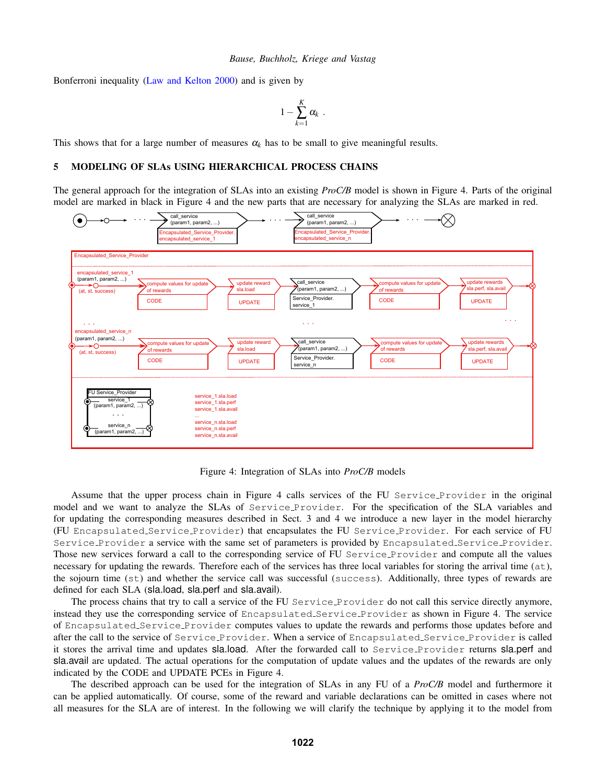Bonferroni inequality (Law and Kelton 2000) and is given by

$$
1-\sum_{k=1}^K \alpha_k.
$$

This shows that for a large number of measures  $\alpha_k$  has to be small to give meaningful results.

#### 5 MODELING OF SLAs USING HIERARCHICAL PROCESS CHAINS

The general approach for the integration of SLAs into an existing *ProC/B* model is shown in Figure 4. Parts of the original model are marked in black in Figure 4 and the new parts that are necessary for analyzing the SLAs are marked in red.



Figure 4: Integration of SLAs into *ProC/B* models

Assume that the upper process chain in Figure 4 calls services of the FU Service Provider in the original model and we want to analyze the SLAs of Service Provider. For the specification of the SLA variables and for updating the corresponding measures described in Sect. 3 and 4 we introduce a new layer in the model hierarchy (FU Encapsulated Service Provider) that encapsulates the FU Service Provider. For each service of FU Service Provider a service with the same set of parameters is provided by Encapsulated Service Provider. Those new services forward a call to the corresponding service of FU Service Provider and compute all the values necessary for updating the rewards. Therefore each of the services has three local variables for storing the arrival time  $(at)$ , the sojourn time (st) and whether the service call was successful (success). Additionally, three types of rewards are defined for each SLA (sla.load, sla.perf and sla.avail).

The process chains that try to call a service of the FU Service Provider do not call this service directly anymore, instead they use the corresponding service of Encapsulated Service Provider as shown in Figure 4. The service of Encapsulated Service Provider computes values to update the rewards and performs those updates before and after the call to the service of Service Provider. When a service of Encapsulated Service Provider is called it stores the arrival time and updates sla.load. After the forwarded call to Service Provider returns sla.perf and sla.avail are updated. The actual operations for the computation of update values and the updates of the rewards are only indicated by the CODE and UPDATE PCEs in Figure 4.

The described approach can be used for the integration of SLAs in any FU of a *ProC/B* model and furthermore it can be applied automatically. Of course, some of the reward and variable declarations can be omitted in cases where not all measures for the SLA are of interest. In the following we will clarify the technique by applying it to the model from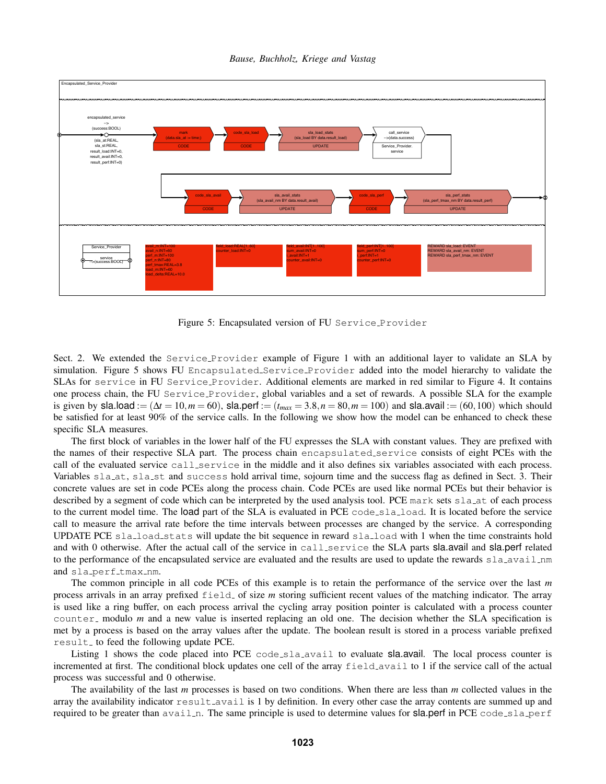

Figure 5: Encapsulated version of FU Service Provider

Sect. 2. We extended the Service Provider example of Figure 1 with an additional layer to validate an SLA by simulation. Figure 5 shows FU Encapsulated Service Provider added into the model hierarchy to validate the SLAs for service in FU Service Provider. Additional elements are marked in red similar to Figure 4. It contains one process chain, the FU Service Provider, global variables and a set of rewards. A possible SLA for the example is given by sla.load := ( $\Delta t = 10$ ,  $m = 60$ ), sla.perf := ( $t_{max} = 3.8$ ,  $n = 80$ ,  $m = 100$ ) and sla.avail := (60,100) which should be satisfied for at least 90% of the service calls. In the following we show how the model can be enhanced to check these specific SLA measures.

The first block of variables in the lower half of the FU expresses the SLA with constant values. They are prefixed with the names of their respective SLA part. The process chain encapsulated service consists of eight PCEs with the call of the evaluated service call service in the middle and it also defines six variables associated with each process. Variables sla\_at, sla\_st and success hold arrival time, sojourn time and the success flag as defined in Sect. 3. Their concrete values are set in code PCEs along the process chain. Code PCEs are used like normal PCEs but their behavior is described by a segment of code which can be interpreted by the used analysis tool. PCE mark sets slaat of each process to the current model time. The load part of the SLA is evaluated in PCE code\_sla\_load. It is located before the service call to measure the arrival rate before the time intervals between processes are changed by the service. A corresponding UPDATE PCE sla load stats will update the bit sequence in reward sla load with 1 when the time constraints hold and with 0 otherwise. After the actual call of the service in call service the SLA parts sla.avail and sla.perf related to the performance of the encapsulated service are evaluated and the results are used to update the rewards slagavail\_nm and sla\_perf\_tmax\_nm.

The common principle in all code PCEs of this example is to retain the performance of the service over the last *m* process arrivals in an array prefixed field of size *m* storing sufficient recent values of the matching indicator. The array is used like a ring buffer, on each process arrival the cycling array position pointer is calculated with a process counter counter modulo *m* and a new value is inserted replacing an old one. The decision whether the SLA specification is met by a process is based on the array values after the update. The boolean result is stored in a process variable prefixed result to feed the following update PCE.

Listing 1 shows the code placed into PCE code\_sla\_avail to evaluate sla.avail. The local process counter is incremented at first. The conditional block updates one cell of the array field avail to 1 if the service call of the actual process was successful and 0 otherwise.

The availability of the last *m* processes is based on two conditions. When there are less than *m* collected values in the array the availability indicator result\_avail is 1 by definition. In every other case the array contents are summed up and required to be greater than avail n. The same principle is used to determine values for sla.perf in PCE code slaperf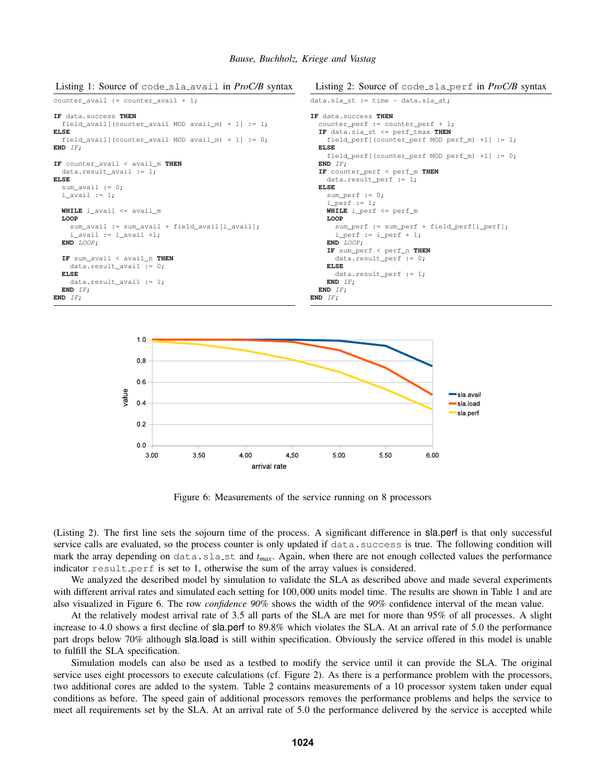```
Listing 1: Source of code sla avail in ProC/B syntax
```
#### Listing 2: Source of code sla perf in *ProC/B* syntax

```
counter avail := counter avail + 1;
IF data.success THEN
  field_avail[(counter_avail MOD avail_m) + 1] := 1;
ELSE
  field avail[(counter_avail MOD avail m) + 1] := 0:
END IF;
IF counter_avail < avail_m THEN
 data.result_avail := 1;
ELSE
  sum_avail := 0;
  i_avail := 1;
 WHILE i_avail <= avail_m
 LOOP
    sum_avail := sum_avail + field_avail[i_avail];
    i_avail := i_avail +1;
  END LOOP;
  IF sum_avail < avail_n THEN
   data.result_avail := 0;
 ELSE
   data.result avail := 1;
 END IF;
END IF;
                                                                data.sla_st := time - data.sla_at;
                                                                IF data.success THEN
                                                                  counter_perf := counter_perf + 1;
                                                                  IF data.sla_st <= perf_tmax THEN
                                                                    field_perf[(counter_perf MOD perf_m) +1] := 1;
                                                                  ELSE
                                                                    field_perf[(counter_perf MOD perf_m) +1] := 0;
                                                                  END IF;
                                                                  IF counter_perf < perf_m THEN
                                                                    data.result_perf := 1;
                                                                  ELSE
                                                                    sum_perf := 0;
                                                                    i perf := 1;WHILE i_perf <= perf_m
                                                                    LOOP
                                                                      sum_perf := sum_perf + field_perf[i_perf];
                                                                      i_perf := i_perf + 1;
                                                                    END LOOP;
                                                                    IF sum_perf < perf_n THEN
                                                                      data.result_perf := 0;
                                                                    ELSE
                                                                      data.result_perf := 1;
                                                                    END IF;
                                                                  END IF;
                                                                END IF;
```


Figure 6: Measurements of the service running on 8 processors

(Listing 2). The first line sets the sojourn time of the process. A significant difference in sla.perf is that only successful service calls are evaluated, so the process counter is only updated if  $data$ . success is true. The following condition will mark the array depending on data.sla\_st and  $t_{max}$ . Again, when there are not enough collected values the performance indicator result perf is set to 1, otherwise the sum of the array values is considered.

We analyzed the described model by simulation to validate the SLA as described above and made several experiments with different arrival rates and simulated each setting for 100,000 units model time. The results are shown in Table 1 and are also visualized in Figure 6. The row *confidence 90%* shows the width of the *90%* confidence interval of the mean value.

At the relatively modest arrival rate of 3.5 all parts of the SLA are met for more than 95% of all processes. A slight increase to 4.0 shows a first decline of sla.perf to 89.8% which violates the SLA. At an arrival rate of 5.0 the performance part drops below 70% although sla.load is still within specification. Obviously the service offered in this model is unable to fulfill the SLA specification.

Simulation models can also be used as a testbed to modify the service until it can provide the SLA. The original service uses eight processors to execute calculations (cf. Figure 2). As there is a performance problem with the processors, two additional cores are added to the system. Table 2 contains measurements of a 10 processor system taken under equal conditions as before. The speed gain of additional processors removes the performance problems and helps the service to meet all requirements set by the SLA. At an arrival rate of 5.0 the performance delivered by the service is accepted while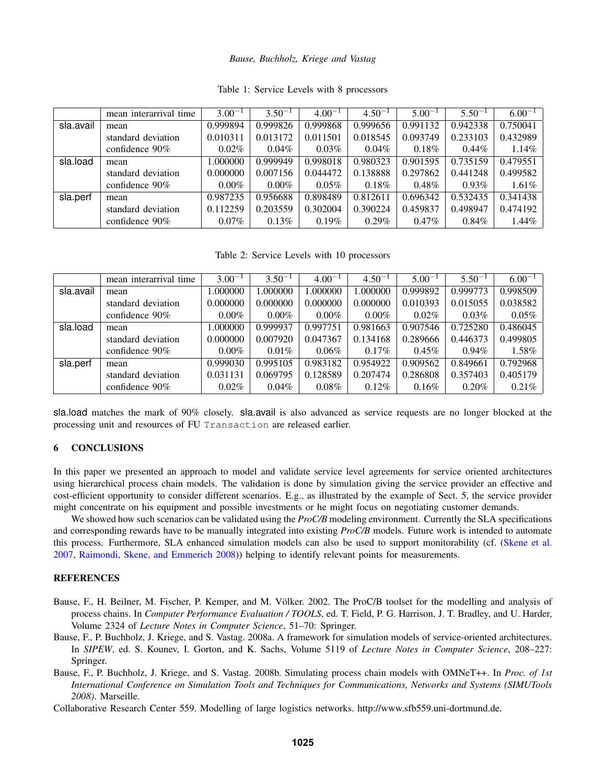# *Bause, Buchholz, Kriege and Vastag*

|           | mean interarrival time | $3.00^{-1}$ | $3.50^{-1}$ | $4.00^{-1}$ | $4.50^{-1}$ | $5.00^{-1}$ | $5.50^{-1}$ | $6.00^{-1}$ |
|-----------|------------------------|-------------|-------------|-------------|-------------|-------------|-------------|-------------|
| sla.avail | mean                   | 0.999894    | 0.999826    | 0.999868    | 0.999656    | 0.991132    | 0.942338    | 0.750041    |
|           | standard deviation     | 0.010311    | 0.013172    | 0.011501    | 0.018545    | 0.093749    | 0.233103    | 0.432989    |
|           | confidence $90\%$      | $0.02\%$    | $0.04\%$    | $0.03\%$    | $0.04\%$    | 0.18%       | $0.44\%$    | $1.14\%$    |
| sla.load  | mean                   | .000000     | 0.999949    | 0.998018    | 0.980323    | 0.901595    | 0.735159    | 0.479551    |
|           | standard deviation     | 0.000000    | 0.007156    | 0.044472    | 0.138888    | 0.297862    | 0.441248    | 0.499582    |
|           | confidence $90\%$      | $0.00\%$    | $0.00\%$    | $0.05\%$    | 0.18%       | $0.48\%$    | $0.93\%$    | $1.61\%$    |
| sla.perf  | mean                   | 0.987235    | 0.956688    | 0.898489    | 0.812611    | 0.696342    | 0.532435    | 0.341438    |
|           | standard deviation     | 0.112259    | 0.203559    | 0.302004    | 0.390224    | 0.459837    | 0.498947    | 0.474192    |
|           | confidence $90\%$      | $0.07\%$    | 0.13%       | $0.19\%$    | $0.29\%$    | $0.47\%$    | $0.84\%$    | 1.44%       |

#### Table 1: Service Levels with 8 processors

Table 2: Service Levels with 10 processors

|           | mean interarrival time | $3.00^{-1}$ | $3.50^{-1}$ | $4.00^{-1}$ | $4.50^{-1}$ | $5.00^{-1}$ | $5.50^{-1}$ | $6.00^{-1}$ |
|-----------|------------------------|-------------|-------------|-------------|-------------|-------------|-------------|-------------|
| sla.avail | mean                   | 1.000000    | 1.000000    | 000000.1    | .000000     | 0.999892    | 0.999773    | 0.998509    |
|           | standard deviation     | 0.000000    | 0.000000    | 0.000000    | 0.000000    | 0.010393    | 0.015055    | 0.038582    |
|           | confidence $90\%$      | $0.00\%$    | $0.00\%$    | $0.00\%$    | $0.00\%$    | $0.02\%$    | $0.03\%$    | $0.05\%$    |
| sla.load  | mean                   | 1.000000    | 0.999937    | 0.997751    | 0.981663    | 0.907546    | 0.725280    | 0.486045    |
|           | standard deviation     | 0.000000    | 0.007920    | 0.047367    | 0.134168    | 0.289666    | 0.446373    | 0.499805    |
|           | confidence $90\%$      | $0.00\%$    | $0.01\%$    | $0.06\%$    | $0.17\%$    | $0.45\%$    | $0.94\%$    | 1.58%       |
| sla.perf  | mean                   | 0.999030    | 0.995105    | 0.983182    | 0.954922    | 0.909562    | 0.849661    | 0.792968    |
|           | standard deviation     | 0.031131    | 0.069795    | 0.128589    | 0.207474    | 0.286808    | 0.357403    | 0.405179    |
|           | confidence $90\%$      | $0.02\%$    | $0.04\%$    | $0.08\%$    | $0.12\%$    | $0.16\%$    | $0.20\%$    | 0.21%       |

sla.load matches the mark of 90% closely. sla.avail is also advanced as service requests are no longer blocked at the processing unit and resources of FU Transaction are released earlier.

# 6 CONCLUSIONS

In this paper we presented an approach to model and validate service level agreements for service oriented architectures using hierarchical process chain models. The validation is done by simulation giving the service provider an effective and cost-efficient opportunity to consider different scenarios. E.g., as illustrated by the example of Sect. 5, the service provider might concentrate on his equipment and possible investments or he might focus on negotiating customer demands.

We showed how such scenarios can be validated using the *ProC/B* modeling environment. Currently the SLA specifications and corresponding rewards have to be manually integrated into existing *ProC/B* models. Future work is intended to automate this process. Furthermore, SLA enhanced simulation models can also be used to support monitorability (cf. (Skene et al. 2007, Raimondi, Skene, and Emmerich 2008)) helping to identify relevant points for measurements.

# **REFERENCES**

- Bause, F., H. Beilner, M. Fischer, P. Kemper, and M. Völker. 2002. The ProC/B toolset for the modelling and analysis of process chains. In *Computer Performance Evaluation / TOOLS*, ed. T. Field, P. G. Harrison, J. T. Bradley, and U. Harder, Volume 2324 of *Lecture Notes in Computer Science*, 51–70: Springer.
- Bause, F., P. Buchholz, J. Kriege, and S. Vastag. 2008a. A framework for simulation models of service-oriented architectures. In *SIPEW*, ed. S. Kounev, I. Gorton, and K. Sachs, Volume 5119 of *Lecture Notes in Computer Science*, 208–227: Springer.
- Bause, F., P. Buchholz, J. Kriege, and S. Vastag. 2008b. Simulating process chain models with OMNeT++. In *Proc. of 1st International Conference on Simulation Tools and Techniques for Communications, Networks and Systems (SIMUTools 2008)*. Marseille.

Collaborative Research Center 559. Modelling of large logistics networks. http://www.sfb559.uni-dortmund.de.